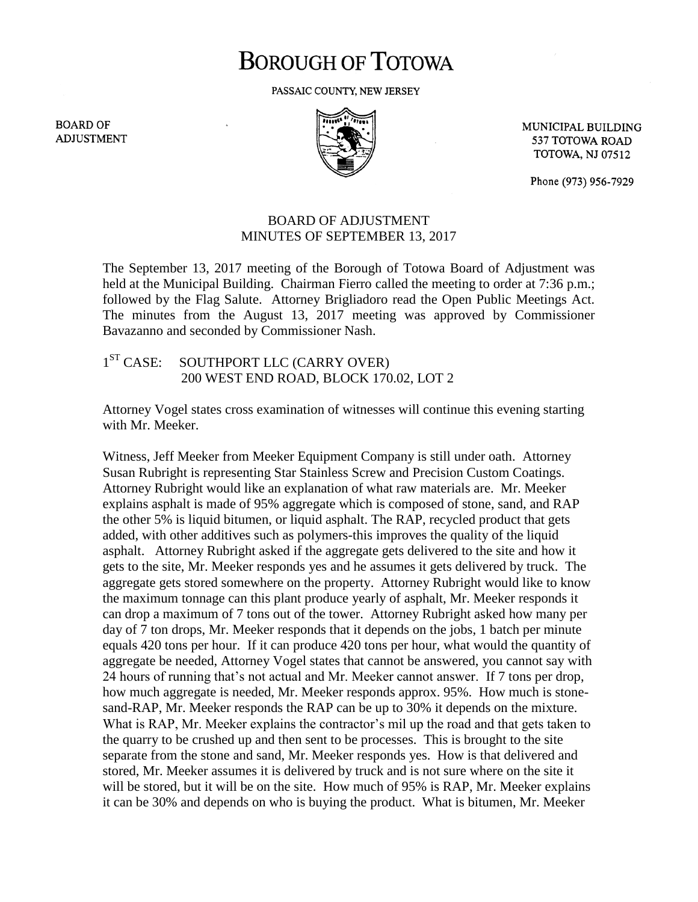## **BOROUGH OF TOTOWA**

PASSAIC COUNTY, NEW JERSEY

**BOARD OF ADJUSTMENT** 



MUNICIPAL BUILDING 537 TOTOWA ROAD **TOTOWA, NJ 07512** 

Phone (973) 956-7929

## BOARD OF ADJUSTMENT MINUTES OF SEPTEMBER 13, 2017

The September 13, 2017 meeting of the Borough of Totowa Board of Adjustment was held at the Municipal Building. Chairman Fierro called the meeting to order at 7:36 p.m.; followed by the Flag Salute. Attorney Brigliadoro read the Open Public Meetings Act. The minutes from the August 13, 2017 meeting was approved by Commissioner Bavazanno and seconded by Commissioner Nash.

## $1<sup>ST</sup> CASE:$ SOUTHPORT LLC (CARRY OVER) 200 WEST END ROAD, BLOCK 170.02, LOT 2

Attorney Vogel states cross examination of witnesses will continue this evening starting with Mr. Meeker.

Witness, Jeff Meeker from Meeker Equipment Company is still under oath. Attorney Susan Rubright is representing Star Stainless Screw and Precision Custom Coatings. Attorney Rubright would like an explanation of what raw materials are. Mr. Meeker explains asphalt is made of 95% aggregate which is composed of stone, sand, and RAP the other 5% is liquid bitumen, or liquid asphalt. The RAP, recycled product that gets added, with other additives such as polymers-this improves the quality of the liquid asphalt. Attorney Rubright asked if the aggregate gets delivered to the site and how it gets to the site, Mr. Meeker responds yes and he assumes it gets delivered by truck. The aggregate gets stored somewhere on the property. Attorney Rubright would like to know the maximum tonnage can this plant produce yearly of asphalt, Mr. Meeker responds it can drop a maximum of 7 tons out of the tower. Attorney Rubright asked how many per day of 7 ton drops, Mr. Meeker responds that it depends on the jobs, 1 batch per minute equals 420 tons per hour. If it can produce 420 tons per hour, what would the quantity of aggregate be needed, Attorney Vogel states that cannot be answered, you cannot say with 24 hours of running that's not actual and Mr. Meeker cannot answer. If 7 tons per drop, how much aggregate is needed, Mr. Meeker responds approx. 95%. How much is stonesand-RAP, Mr. Meeker responds the RAP can be up to 30% it depends on the mixture. What is RAP, Mr. Meeker explains the contractor's mil up the road and that gets taken to the quarry to be crushed up and then sent to be processes. This is brought to the site separate from the stone and sand, Mr. Meeker responds yes. How is that delivered and stored, Mr. Meeker assumes it is delivered by truck and is not sure where on the site it will be stored, but it will be on the site. How much of 95% is RAP, Mr. Meeker explains it can be 30% and depends on who is buying the product. What is bitumen, Mr. Meeker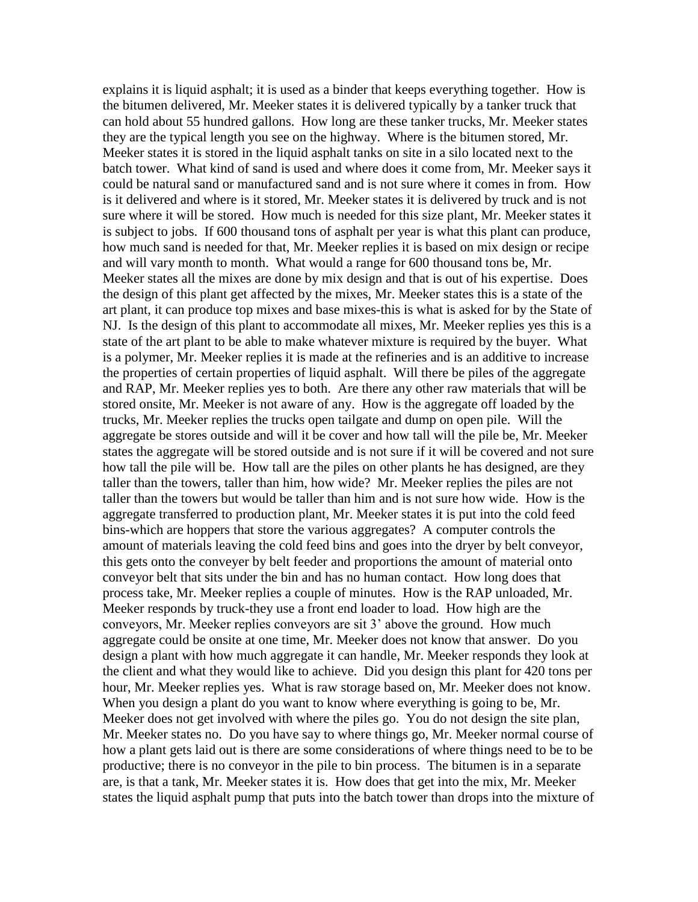explains it is liquid asphalt; it is used as a binder that keeps everything together. How is the bitumen delivered, Mr. Meeker states it is delivered typically by a tanker truck that can hold about 55 hundred gallons. How long are these tanker trucks, Mr. Meeker states they are the typical length you see on the highway. Where is the bitumen stored, Mr. Meeker states it is stored in the liquid asphalt tanks on site in a silo located next to the batch tower. What kind of sand is used and where does it come from, Mr. Meeker says it could be natural sand or manufactured sand and is not sure where it comes in from. How is it delivered and where is it stored, Mr. Meeker states it is delivered by truck and is not sure where it will be stored. How much is needed for this size plant, Mr. Meeker states it is subject to jobs. If 600 thousand tons of asphalt per year is what this plant can produce, how much sand is needed for that, Mr. Meeker replies it is based on mix design or recipe and will vary month to month. What would a range for 600 thousand tons be, Mr. Meeker states all the mixes are done by mix design and that is out of his expertise. Does the design of this plant get affected by the mixes, Mr. Meeker states this is a state of the art plant, it can produce top mixes and base mixes-this is what is asked for by the State of NJ. Is the design of this plant to accommodate all mixes, Mr. Meeker replies yes this is a state of the art plant to be able to make whatever mixture is required by the buyer. What is a polymer, Mr. Meeker replies it is made at the refineries and is an additive to increase the properties of certain properties of liquid asphalt. Will there be piles of the aggregate and RAP, Mr. Meeker replies yes to both. Are there any other raw materials that will be stored onsite, Mr. Meeker is not aware of any. How is the aggregate off loaded by the trucks, Mr. Meeker replies the trucks open tailgate and dump on open pile. Will the aggregate be stores outside and will it be cover and how tall will the pile be, Mr. Meeker states the aggregate will be stored outside and is not sure if it will be covered and not sure how tall the pile will be. How tall are the piles on other plants he has designed, are they taller than the towers, taller than him, how wide? Mr. Meeker replies the piles are not taller than the towers but would be taller than him and is not sure how wide. How is the aggregate transferred to production plant, Mr. Meeker states it is put into the cold feed bins-which are hoppers that store the various aggregates? A computer controls the amount of materials leaving the cold feed bins and goes into the dryer by belt conveyor, this gets onto the conveyer by belt feeder and proportions the amount of material onto conveyor belt that sits under the bin and has no human contact. How long does that process take, Mr. Meeker replies a couple of minutes. How is the RAP unloaded, Mr. Meeker responds by truck-they use a front end loader to load. How high are the conveyors, Mr. Meeker replies conveyors are sit 3' above the ground. How much aggregate could be onsite at one time, Mr. Meeker does not know that answer. Do you design a plant with how much aggregate it can handle, Mr. Meeker responds they look at the client and what they would like to achieve. Did you design this plant for 420 tons per hour, Mr. Meeker replies yes. What is raw storage based on, Mr. Meeker does not know. When you design a plant do you want to know where everything is going to be, Mr. Meeker does not get involved with where the piles go. You do not design the site plan, Mr. Meeker states no. Do you have say to where things go, Mr. Meeker normal course of how a plant gets laid out is there are some considerations of where things need to be to be productive; there is no conveyor in the pile to bin process. The bitumen is in a separate are, is that a tank, Mr. Meeker states it is. How does that get into the mix, Mr. Meeker states the liquid asphalt pump that puts into the batch tower than drops into the mixture of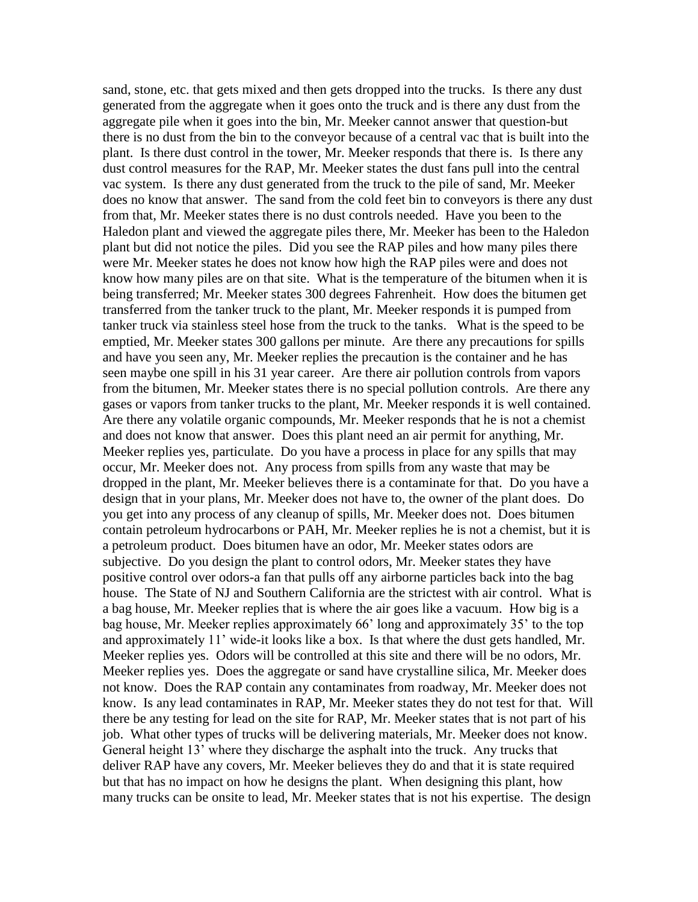sand, stone, etc. that gets mixed and then gets dropped into the trucks. Is there any dust generated from the aggregate when it goes onto the truck and is there any dust from the aggregate pile when it goes into the bin, Mr. Meeker cannot answer that question-but there is no dust from the bin to the conveyor because of a central vac that is built into the plant. Is there dust control in the tower, Mr. Meeker responds that there is. Is there any dust control measures for the RAP, Mr. Meeker states the dust fans pull into the central vac system. Is there any dust generated from the truck to the pile of sand, Mr. Meeker does no know that answer. The sand from the cold feet bin to conveyors is there any dust from that, Mr. Meeker states there is no dust controls needed. Have you been to the Haledon plant and viewed the aggregate piles there, Mr. Meeker has been to the Haledon plant but did not notice the piles. Did you see the RAP piles and how many piles there were Mr. Meeker states he does not know how high the RAP piles were and does not know how many piles are on that site. What is the temperature of the bitumen when it is being transferred; Mr. Meeker states 300 degrees Fahrenheit. How does the bitumen get transferred from the tanker truck to the plant, Mr. Meeker responds it is pumped from tanker truck via stainless steel hose from the truck to the tanks. What is the speed to be emptied, Mr. Meeker states 300 gallons per minute. Are there any precautions for spills and have you seen any, Mr. Meeker replies the precaution is the container and he has seen maybe one spill in his 31 year career. Are there air pollution controls from vapors from the bitumen, Mr. Meeker states there is no special pollution controls. Are there any gases or vapors from tanker trucks to the plant, Mr. Meeker responds it is well contained. Are there any volatile organic compounds, Mr. Meeker responds that he is not a chemist and does not know that answer. Does this plant need an air permit for anything, Mr. Meeker replies yes, particulate. Do you have a process in place for any spills that may occur, Mr. Meeker does not. Any process from spills from any waste that may be dropped in the plant, Mr. Meeker believes there is a contaminate for that. Do you have a design that in your plans, Mr. Meeker does not have to, the owner of the plant does. Do you get into any process of any cleanup of spills, Mr. Meeker does not. Does bitumen contain petroleum hydrocarbons or PAH, Mr. Meeker replies he is not a chemist, but it is a petroleum product. Does bitumen have an odor, Mr. Meeker states odors are subjective. Do you design the plant to control odors, Mr. Meeker states they have positive control over odors-a fan that pulls off any airborne particles back into the bag house. The State of NJ and Southern California are the strictest with air control. What is a bag house, Mr. Meeker replies that is where the air goes like a vacuum. How big is a bag house, Mr. Meeker replies approximately 66' long and approximately 35' to the top and approximately 11' wide-it looks like a box. Is that where the dust gets handled, Mr. Meeker replies yes. Odors will be controlled at this site and there will be no odors, Mr. Meeker replies yes. Does the aggregate or sand have crystalline silica, Mr. Meeker does not know. Does the RAP contain any contaminates from roadway, Mr. Meeker does not know. Is any lead contaminates in RAP, Mr. Meeker states they do not test for that. Will there be any testing for lead on the site for RAP, Mr. Meeker states that is not part of his job. What other types of trucks will be delivering materials, Mr. Meeker does not know. General height 13' where they discharge the asphalt into the truck. Any trucks that deliver RAP have any covers, Mr. Meeker believes they do and that it is state required but that has no impact on how he designs the plant. When designing this plant, how many trucks can be onsite to lead, Mr. Meeker states that is not his expertise. The design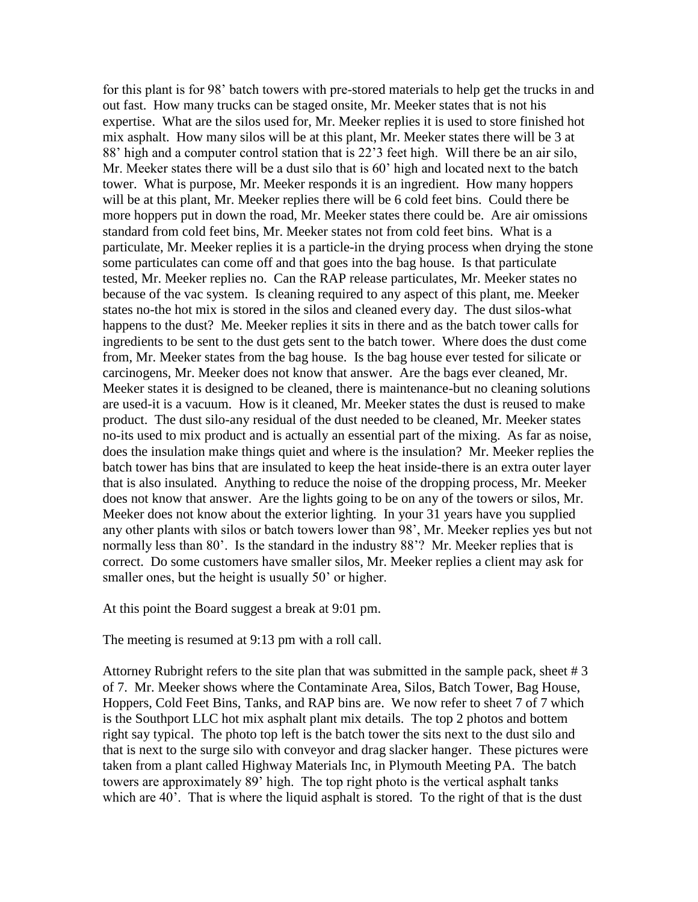for this plant is for 98' batch towers with pre-stored materials to help get the trucks in and out fast. How many trucks can be staged onsite, Mr. Meeker states that is not his expertise. What are the silos used for, Mr. Meeker replies it is used to store finished hot mix asphalt. How many silos will be at this plant, Mr. Meeker states there will be 3 at 88' high and a computer control station that is 22'3 feet high. Will there be an air silo, Mr. Meeker states there will be a dust silo that is 60' high and located next to the batch tower. What is purpose, Mr. Meeker responds it is an ingredient. How many hoppers will be at this plant, Mr. Meeker replies there will be 6 cold feet bins. Could there be more hoppers put in down the road, Mr. Meeker states there could be. Are air omissions standard from cold feet bins, Mr. Meeker states not from cold feet bins. What is a particulate, Mr. Meeker replies it is a particle-in the drying process when drying the stone some particulates can come off and that goes into the bag house. Is that particulate tested, Mr. Meeker replies no. Can the RAP release particulates, Mr. Meeker states no because of the vac system. Is cleaning required to any aspect of this plant, me. Meeker states no-the hot mix is stored in the silos and cleaned every day. The dust silos-what happens to the dust? Me. Meeker replies it sits in there and as the batch tower calls for ingredients to be sent to the dust gets sent to the batch tower. Where does the dust come from, Mr. Meeker states from the bag house. Is the bag house ever tested for silicate or carcinogens, Mr. Meeker does not know that answer. Are the bags ever cleaned, Mr. Meeker states it is designed to be cleaned, there is maintenance-but no cleaning solutions are used-it is a vacuum. How is it cleaned, Mr. Meeker states the dust is reused to make product. The dust silo-any residual of the dust needed to be cleaned, Mr. Meeker states no-its used to mix product and is actually an essential part of the mixing. As far as noise, does the insulation make things quiet and where is the insulation? Mr. Meeker replies the batch tower has bins that are insulated to keep the heat inside-there is an extra outer layer that is also insulated. Anything to reduce the noise of the dropping process, Mr. Meeker does not know that answer. Are the lights going to be on any of the towers or silos, Mr. Meeker does not know about the exterior lighting. In your 31 years have you supplied any other plants with silos or batch towers lower than 98', Mr. Meeker replies yes but not normally less than 80'. Is the standard in the industry 88'? Mr. Meeker replies that is correct. Do some customers have smaller silos, Mr. Meeker replies a client may ask for smaller ones, but the height is usually 50' or higher.

At this point the Board suggest a break at 9:01 pm.

The meeting is resumed at 9:13 pm with a roll call.

Attorney Rubright refers to the site plan that was submitted in the sample pack, sheet # 3 of 7. Mr. Meeker shows where the Contaminate Area, Silos, Batch Tower, Bag House, Hoppers, Cold Feet Bins, Tanks, and RAP bins are. We now refer to sheet 7 of 7 which is the Southport LLC hot mix asphalt plant mix details. The top 2 photos and bottem right say typical. The photo top left is the batch tower the sits next to the dust silo and that is next to the surge silo with conveyor and drag slacker hanger. These pictures were taken from a plant called Highway Materials Inc, in Plymouth Meeting PA. The batch towers are approximately 89' high. The top right photo is the vertical asphalt tanks which are 40'. That is where the liquid asphalt is stored. To the right of that is the dust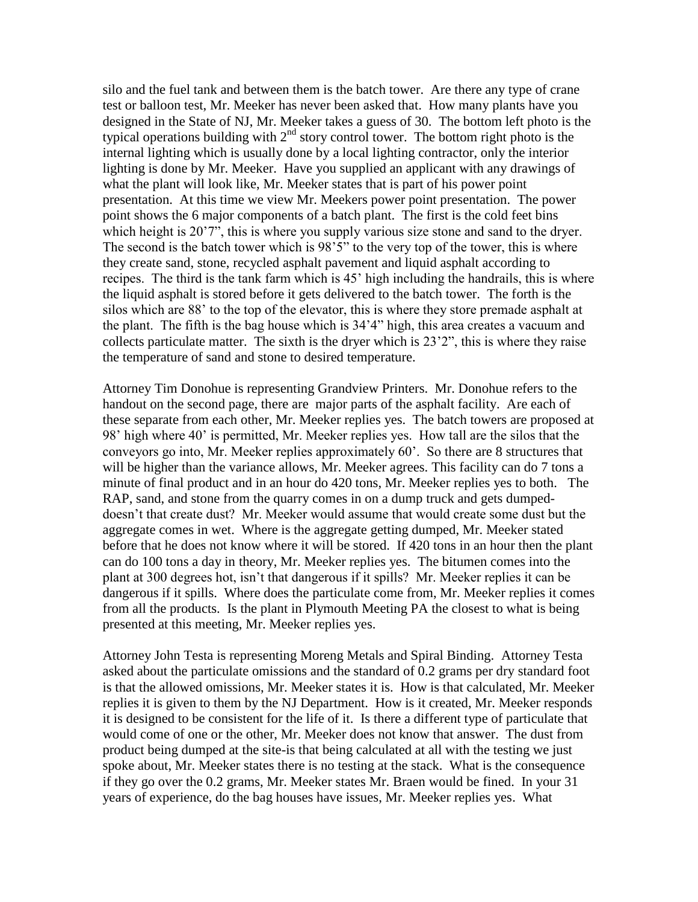silo and the fuel tank and between them is the batch tower. Are there any type of crane test or balloon test, Mr. Meeker has never been asked that. How many plants have you designed in the State of NJ, Mr. Meeker takes a guess of 30. The bottom left photo is the typical operations building with  $2<sup>nd</sup>$  story control tower. The bottom right photo is the internal lighting which is usually done by a local lighting contractor, only the interior lighting is done by Mr. Meeker. Have you supplied an applicant with any drawings of what the plant will look like, Mr. Meeker states that is part of his power point presentation. At this time we view Mr. Meekers power point presentation. The power point shows the 6 major components of a batch plant. The first is the cold feet bins which height is 20'7", this is where you supply various size stone and sand to the dryer. The second is the batch tower which is 98'5" to the very top of the tower, this is where they create sand, stone, recycled asphalt pavement and liquid asphalt according to recipes. The third is the tank farm which is 45' high including the handrails, this is where the liquid asphalt is stored before it gets delivered to the batch tower. The forth is the silos which are 88' to the top of the elevator, this is where they store premade asphalt at the plant. The fifth is the bag house which is 34'4" high, this area creates a vacuum and collects particulate matter. The sixth is the dryer which is 23'2", this is where they raise the temperature of sand and stone to desired temperature.

Attorney Tim Donohue is representing Grandview Printers. Mr. Donohue refers to the handout on the second page, there are major parts of the asphalt facility. Are each of these separate from each other, Mr. Meeker replies yes. The batch towers are proposed at 98' high where 40' is permitted, Mr. Meeker replies yes. How tall are the silos that the conveyors go into, Mr. Meeker replies approximately 60'. So there are 8 structures that will be higher than the variance allows, Mr. Meeker agrees. This facility can do 7 tons a minute of final product and in an hour do 420 tons, Mr. Meeker replies yes to both. The RAP, sand, and stone from the quarry comes in on a dump truck and gets dumpeddoesn't that create dust? Mr. Meeker would assume that would create some dust but the aggregate comes in wet. Where is the aggregate getting dumped, Mr. Meeker stated before that he does not know where it will be stored. If 420 tons in an hour then the plant can do 100 tons a day in theory, Mr. Meeker replies yes. The bitumen comes into the plant at 300 degrees hot, isn't that dangerous if it spills? Mr. Meeker replies it can be dangerous if it spills. Where does the particulate come from, Mr. Meeker replies it comes from all the products. Is the plant in Plymouth Meeting PA the closest to what is being presented at this meeting, Mr. Meeker replies yes.

Attorney John Testa is representing Moreng Metals and Spiral Binding. Attorney Testa asked about the particulate omissions and the standard of 0.2 grams per dry standard foot is that the allowed omissions, Mr. Meeker states it is. How is that calculated, Mr. Meeker replies it is given to them by the NJ Department. How is it created, Mr. Meeker responds it is designed to be consistent for the life of it. Is there a different type of particulate that would come of one or the other, Mr. Meeker does not know that answer. The dust from product being dumped at the site-is that being calculated at all with the testing we just spoke about, Mr. Meeker states there is no testing at the stack. What is the consequence if they go over the 0.2 grams, Mr. Meeker states Mr. Braen would be fined. In your 31 years of experience, do the bag houses have issues, Mr. Meeker replies yes. What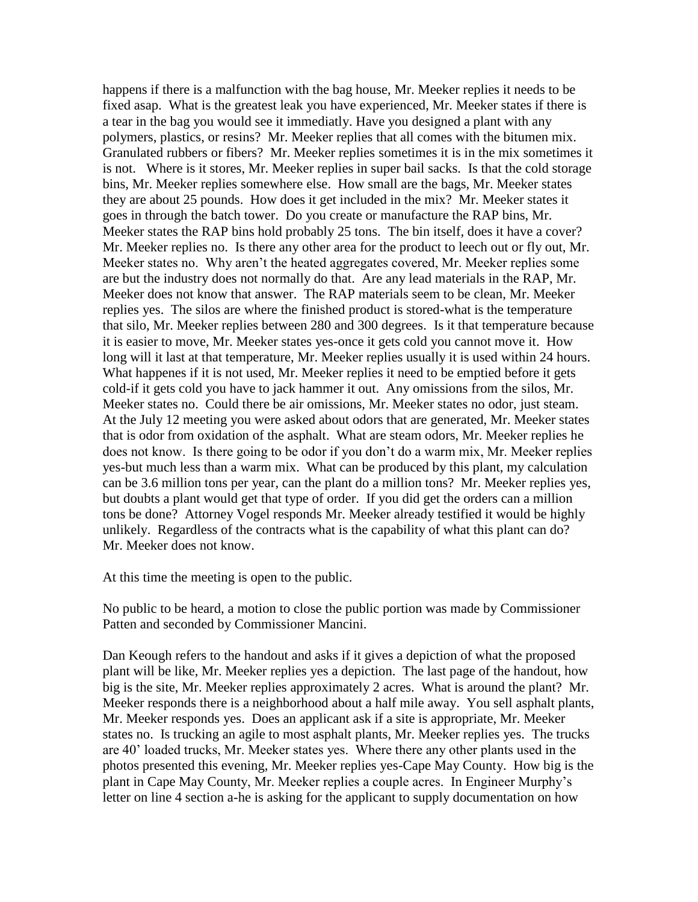happens if there is a malfunction with the bag house, Mr. Meeker replies it needs to be fixed asap. What is the greatest leak you have experienced, Mr. Meeker states if there is a tear in the bag you would see it immediatly. Have you designed a plant with any polymers, plastics, or resins? Mr. Meeker replies that all comes with the bitumen mix. Granulated rubbers or fibers? Mr. Meeker replies sometimes it is in the mix sometimes it is not. Where is it stores, Mr. Meeker replies in super bail sacks. Is that the cold storage bins, Mr. Meeker replies somewhere else. How small are the bags, Mr. Meeker states they are about 25 pounds. How does it get included in the mix? Mr. Meeker states it goes in through the batch tower. Do you create or manufacture the RAP bins, Mr. Meeker states the RAP bins hold probably 25 tons. The bin itself, does it have a cover? Mr. Meeker replies no. Is there any other area for the product to leech out or fly out, Mr. Meeker states no. Why aren't the heated aggregates covered, Mr. Meeker replies some are but the industry does not normally do that. Are any lead materials in the RAP, Mr. Meeker does not know that answer. The RAP materials seem to be clean, Mr. Meeker replies yes. The silos are where the finished product is stored-what is the temperature that silo, Mr. Meeker replies between 280 and 300 degrees. Is it that temperature because it is easier to move, Mr. Meeker states yes-once it gets cold you cannot move it. How long will it last at that temperature, Mr. Meeker replies usually it is used within 24 hours. What happenes if it is not used, Mr. Meeker replies it need to be emptied before it gets cold-if it gets cold you have to jack hammer it out. Any omissions from the silos, Mr. Meeker states no. Could there be air omissions, Mr. Meeker states no odor, just steam. At the July 12 meeting you were asked about odors that are generated, Mr. Meeker states that is odor from oxidation of the asphalt. What are steam odors, Mr. Meeker replies he does not know. Is there going to be odor if you don't do a warm mix, Mr. Meeker replies yes-but much less than a warm mix. What can be produced by this plant, my calculation can be 3.6 million tons per year, can the plant do a million tons? Mr. Meeker replies yes, but doubts a plant would get that type of order. If you did get the orders can a million tons be done? Attorney Vogel responds Mr. Meeker already testified it would be highly unlikely. Regardless of the contracts what is the capability of what this plant can do? Mr. Meeker does not know.

At this time the meeting is open to the public.

No public to be heard, a motion to close the public portion was made by Commissioner Patten and seconded by Commissioner Mancini.

Dan Keough refers to the handout and asks if it gives a depiction of what the proposed plant will be like, Mr. Meeker replies yes a depiction. The last page of the handout, how big is the site, Mr. Meeker replies approximately 2 acres. What is around the plant? Mr. Meeker responds there is a neighborhood about a half mile away. You sell asphalt plants, Mr. Meeker responds yes. Does an applicant ask if a site is appropriate, Mr. Meeker states no. Is trucking an agile to most asphalt plants, Mr. Meeker replies yes. The trucks are 40' loaded trucks, Mr. Meeker states yes. Where there any other plants used in the photos presented this evening, Mr. Meeker replies yes-Cape May County. How big is the plant in Cape May County, Mr. Meeker replies a couple acres. In Engineer Murphy's letter on line 4 section a-he is asking for the applicant to supply documentation on how